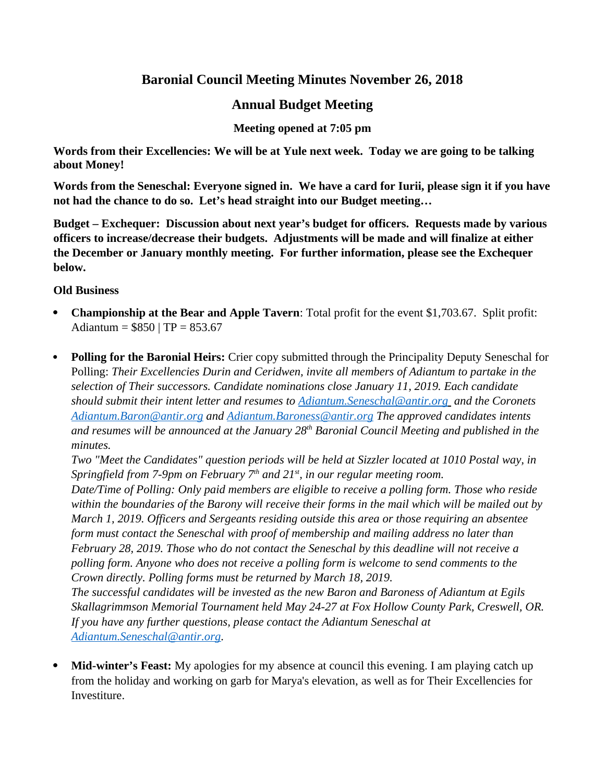# **Baronial Council Meeting Minutes November 26, 2018**

# **Annual Budget Meeting**

**Meeting opened at 7:05 pm**

**Words from their Excellencies: We will be at Yule next week. Today we are going to be talking about Money!**

**Words from the Seneschal: Everyone signed in. We have a card for Iurii, please sign it if you have not had the chance to do so. Let's head straight into our Budget meeting…**

**Budget – Exchequer: Discussion about next year's budget for officers. Requests made by various officers to increase/decrease their budgets. Adjustments will be made and will finalize at either the December or January monthly meeting. For further information, please see the Exchequer below.**

## **Old Business**

- **Championship at the Bear and Apple Tavern**: Total profit for the event \$1,703.67. Split profit: Adiantum =  $$850 | TP = 853.67$
- **Polling for the Baronial Heirs:** Crier copy submitted through the Principality Deputy Seneschal for Polling: *Their Excellencies Durin and Ceridwen, invite all members of Adiantum to partake in the selection of Their successors. Candidate nominations close January 11, 2019. Each candidate should submit their intent letter and resumes to [Adiantum.Seneschal@antir.org](mailto:Adiantum.Seneschal@antir.org) and the Coronets [Adiantum.Baron@antir.org](mailto:Adiantum.Baron@antir.org) and [Adiantum.Baroness@antir.org](mailto:Adiantum.Baroness@antir.org) The approved candidates intents and resumes will be announced at the January 28th Baronial Council Meeting and published in the minutes.*

*Two "Meet the Candidates" question periods will be held at Sizzler located at 1010 Postal way, in Springfield from 7-9pm on February 7th and 21st, in our regular meeting room.*

*Date/Time of Polling: Only paid members are eligible to receive a polling form. Those who reside within the boundaries of the Barony will receive their forms in the mail which will be mailed out by March 1, 2019. Officers and Sergeants residing outside this area or those requiring an absentee form must contact the Seneschal with proof of membership and mailing address no later than February 28, 2019. Those who do not contact the Seneschal by this deadline will not receive a polling form. Anyone who does not receive a polling form is welcome to send comments to the Crown directly. Polling forms must be returned by March 18, 2019.*

*The successful candidates will be invested as the new Baron and Baroness of Adiantum at Egils Skallagrimmson Memorial Tournament held May 24-27 at Fox Hollow County Park, Creswell, OR. If you have any further questions, please contact the Adiantum Seneschal at [Adiantum.Seneschal@antir.org.](mailto:Adiantum.Seneschal@antir.org)* 

 **Mid-winter's Feast:** My apologies for my absence at council this evening. I am playing catch up from the holiday and working on garb for Marya's elevation, as well as for Their Excellencies for Investiture.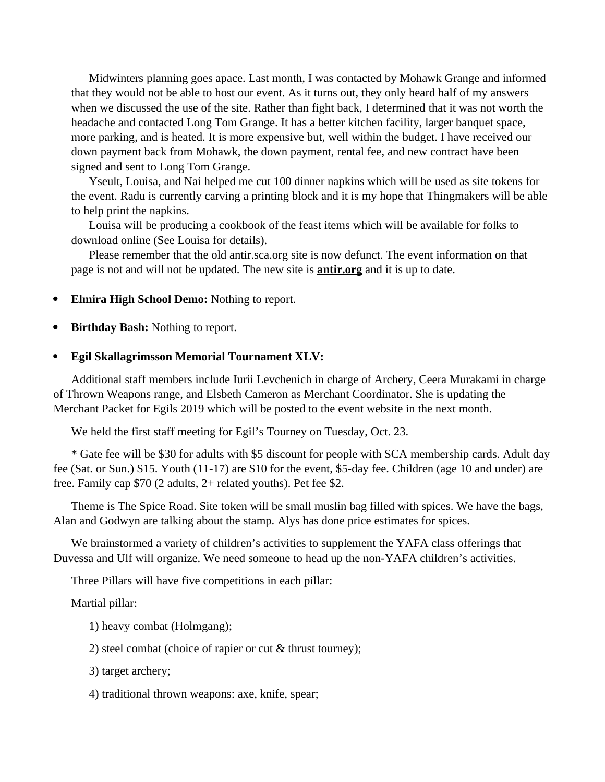Midwinters planning goes apace. Last month, I was contacted by Mohawk Grange and informed that they would not be able to host our event. As it turns out, they only heard half of my answers when we discussed the use of the site. Rather than fight back, I determined that it was not worth the headache and contacted Long Tom Grange. It has a better kitchen facility, larger banquet space, more parking, and is heated. It is more expensive but, well within the budget. I have received our down payment back from Mohawk, the down payment, rental fee, and new contract have been signed and sent to Long Tom Grange.

Yseult, Louisa, and Nai helped me cut 100 dinner napkins which will be used as site tokens for the event. Radu is currently carving a printing block and it is my hope that Thingmakers will be able to help print the napkins.

Louisa will be producing a cookbook of the feast items which will be available for folks to download online (See Louisa for details).

Please remember that the old antir.sca.org site is now defunct. The event information on that page is not and will not be updated. The new site is **antir.org** and it is up to date.

- **Elmira High School Demo:** Nothing to report.
- **Birthday Bash:** Nothing to report.

#### **Egil Skallagrimsson Memorial Tournament XLV:**

Additional staff members include Iurii Levchenich in charge of Archery, Ceera Murakami in charge of Thrown Weapons range, and Elsbeth Cameron as Merchant Coordinator. She is updating the Merchant Packet for Egils 2019 which will be posted to the event website in the next month.

We held the first staff meeting for Egil's Tourney on Tuesday, Oct. 23.

\* Gate fee will be \$30 for adults with \$5 discount for people with SCA membership cards. Adult day fee (Sat. or Sun.) \$15. Youth (11-17) are \$10 for the event, \$5-day fee. Children (age 10 and under) are free. Family cap \$70 (2 adults, 2+ related youths). Pet fee \$2.

Theme is The Spice Road. Site token will be small muslin bag filled with spices. We have the bags, Alan and Godwyn are talking about the stamp. Alys has done price estimates for spices.

We brainstormed a variety of children's activities to supplement the YAFA class offerings that Duvessa and Ulf will organize. We need someone to head up the non-YAFA children's activities.

Three Pillars will have five competitions in each pillar:

Martial pillar:

1) heavy combat (Holmgang);

2) steel combat (choice of rapier or cut & thrust tourney);

3) target archery;

4) traditional thrown weapons: axe, knife, spear;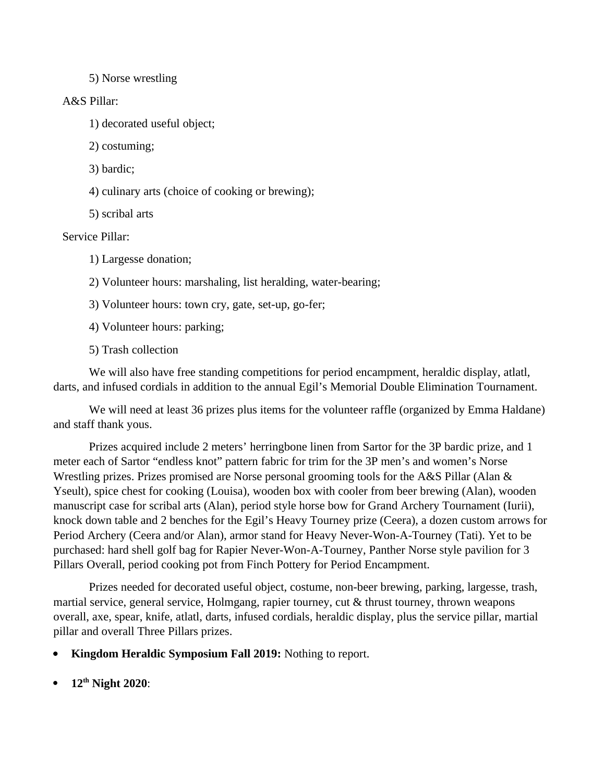5) Norse wrestling

### A&S Pillar:

1) decorated useful object;

2) costuming;

3) bardic;

4) culinary arts (choice of cooking or brewing);

5) scribal arts

Service Pillar:

1) Largesse donation;

2) Volunteer hours: marshaling, list heralding, water-bearing;

3) Volunteer hours: town cry, gate, set-up, go-fer;

4) Volunteer hours: parking;

5) Trash collection

We will also have free standing competitions for period encampment, heraldic display, atlatl, darts, and infused cordials in addition to the annual Egil's Memorial Double Elimination Tournament.

We will need at least 36 prizes plus items for the volunteer raffle (organized by Emma Haldane) and staff thank yous.

Prizes acquired include 2 meters' herringbone linen from Sartor for the 3P bardic prize, and 1 meter each of Sartor "endless knot" pattern fabric for trim for the 3P men's and women's Norse Wrestling prizes. Prizes promised are Norse personal grooming tools for the A&S Pillar (Alan & Yseult), spice chest for cooking (Louisa), wooden box with cooler from beer brewing (Alan), wooden manuscript case for scribal arts (Alan), period style horse bow for Grand Archery Tournament (Iurii), knock down table and 2 benches for the Egil's Heavy Tourney prize (Ceera), a dozen custom arrows for Period Archery (Ceera and/or Alan), armor stand for Heavy Never-Won-A-Tourney (Tati). Yet to be purchased: hard shell golf bag for Rapier Never-Won-A-Tourney, Panther Norse style pavilion for 3 Pillars Overall, period cooking pot from Finch Pottery for Period Encampment.

Prizes needed for decorated useful object, costume, non-beer brewing, parking, largesse, trash, martial service, general service, Holmgang, rapier tourney, cut & thrust tourney, thrown weapons overall, axe, spear, knife, atlatl, darts, infused cordials, heraldic display, plus the service pillar, martial pillar and overall Three Pillars prizes.

- **Kingdom Heraldic Symposium Fall 2019:** Nothing to report.
- **12th Night 2020**: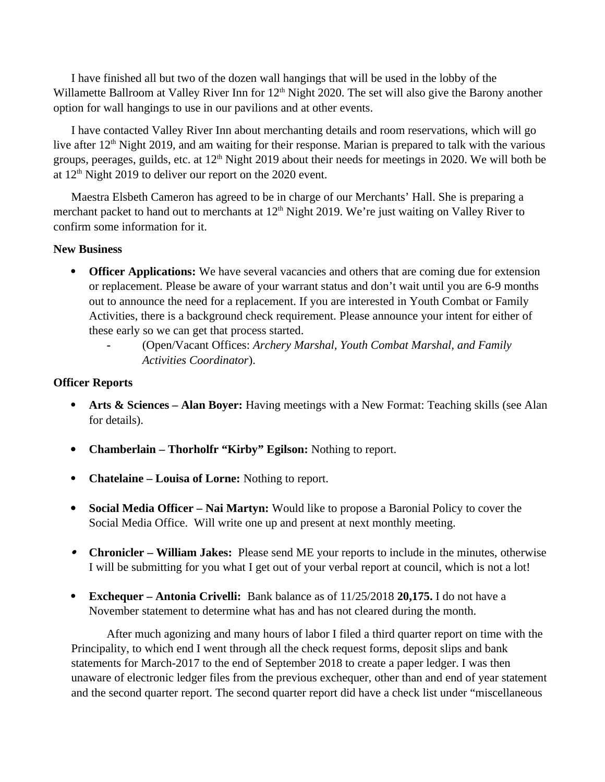I have finished all but two of the dozen wall hangings that will be used in the lobby of the Willamette Ballroom at Valley River Inn for 12<sup>th</sup> Night 2020. The set will also give the Barony another option for wall hangings to use in our pavilions and at other events.

I have contacted Valley River Inn about merchanting details and room reservations, which will go live after  $12<sup>th</sup>$  Night 2019, and am waiting for their response. Marian is prepared to talk with the various groups, peerages, guilds, etc. at  $12<sup>th</sup>$  Night 2019 about their needs for meetings in 2020. We will both be at  $12<sup>th</sup>$  Night 2019 to deliver our report on the 2020 event.

Maestra Elsbeth Cameron has agreed to be in charge of our Merchants' Hall. She is preparing a merchant packet to hand out to merchants at  $12<sup>th</sup>$  Night 2019. We're just waiting on Valley River to confirm some information for it.

### **New Business**

- **Officer Applications:** We have several vacancies and others that are coming due for extension or replacement. Please be aware of your warrant status and don't wait until you are 6-9 months out to announce the need for a replacement. If you are interested in Youth Combat or Family Activities, there is a background check requirement. Please announce your intent for either of these early so we can get that process started.
	- **-** (Open/Vacant Offices: *Archery Marshal, Youth Combat Marshal, and Family Activities Coordinator*).

#### **Officer Reports**

- **Arts & Sciences Alan Boyer:** Having meetings with a New Format: Teaching skills (see Alan for details).
- **Chamberlain Thorholfr "Kirby" Egilson:** Nothing to report.
- **Chatelaine Louisa of Lorne:** Nothing to report.
- **Social Media Officer Nai Martyn:** Would like to propose a Baronial Policy to cover the Social Media Office. Will write one up and present at next monthly meeting.
- **Chronicler William Jakes:** Please send ME your reports to include in the minutes, otherwise I will be submitting for you what I get out of your verbal report at council, which is not a lot!
- **Exchequer Antonia Crivelli:** Bank balance as of 11/25/2018 **20,175.** I do not have a November statement to determine what has and has not cleared during the month.

After much agonizing and many hours of labor I filed a third quarter report on time with the Principality, to which end I went through all the check request forms, deposit slips and bank statements for March-2017 to the end of September 2018 to create a paper ledger. I was then unaware of electronic ledger files from the previous exchequer, other than and end of year statement and the second quarter report. The second quarter report did have a check list under "miscellaneous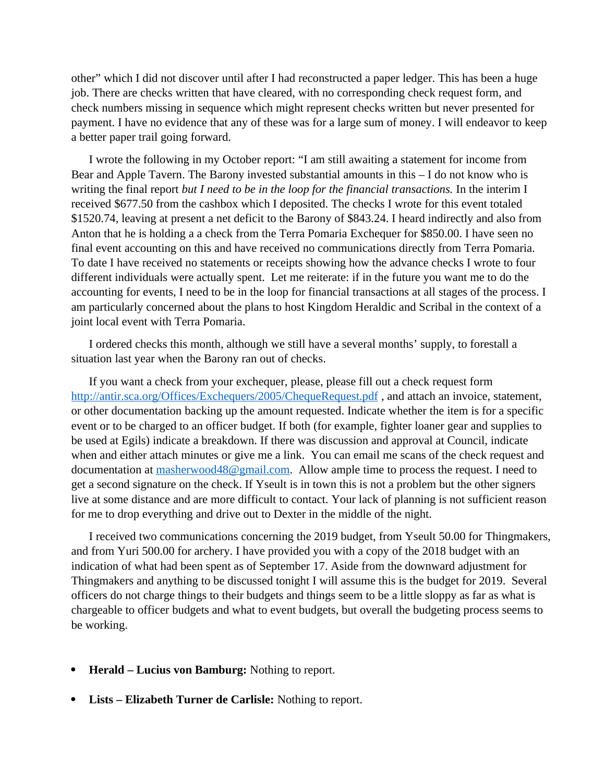other" which I did not discover until after I had reconstructed a paper ledger. This has been a huge job. There are checks written that have cleared, with no corresponding check request form, and check numbers missing in sequence which might represent checks written but never presented for payment. I have no evidence that any of these was for a large sum of money. I will endeavor to keep a better paper trail going forward.

I wrote the following in my October report: "I am still awaiting a statement for income from Bear and Apple Tavern. The Barony invested substantial amounts in this – I do not know who is writing the final report *but I need to be in the loop for the financial transactions*. In the interim I received \$677.50 from the cashbox which I deposited. The checks I wrote for this event totaled \$1520.74, leaving at present a net deficit to the Barony of \$843.24. I heard indirectly and also from Anton that he is holding a a check from the Terra Pomaria Exchequer for \$850.00. I have seen no final event accounting on this and have received no communications directly from Terra Pomaria. To date I have received no statements or receipts showing how the advance checks I wrote to four different individuals were actually spent. Let me reiterate: if in the future you want me to do the accounting for events, I need to be in the loop for financial transactions at all stages of the process. I am particularly concerned about the plans to host Kingdom Heraldic and Scribal in the context of a joint local event with Terra Pomaria.

I ordered checks this month, although we still have a several months' supply, to forestall a situation last year when the Barony ran out of checks.

If you want a check from your exchequer, please, please fill out a check request form http://antir.sca.org/Offices/Exchequers/2005/ChequeRequest.pdf, and attach an invoice, statement, or other documentation backing up the amount requested. Indicate whether the item is for a specific event or to be charged to an officer budget. If both (for example, fighter loaner gear and supplies to be used at Egils) indicate a breakdown. If there was discussion and approval at Council, indicate when and either attach minutes or give me a link. You can email me scans of the check request and documentation at [masherwood48@gmail.com.](mailto:masherwood48@gmail.com) Allow ample time to process the request. I need to get a second signature on the check. If Yseult is in town this is not a problem but the other signers live at some distance and are more difficult to contact. Your lack of planning is not sufficient reason for me to drop everything and drive out to Dexter in the middle of the night.

I received two communications concerning the 2019 budget, from Yseult 50.00 for Thingmakers, and from Yuri 500.00 for archery. I have provided you with a copy of the 2018 budget with an indication of what had been spent as of September 17. Aside from the downward adjustment for Thingmakers and anything to be discussed tonight I will assume this is the budget for 2019. Several officers do not charge things to their budgets and things seem to be a little sloppy as far as what is chargeable to officer budgets and what to event budgets, but overall the budgeting process seems to be working.

- **Herald Lucius von Bamburg:** Nothing to report.
- **Lists Elizabeth Turner de Carlisle:** Nothing to report.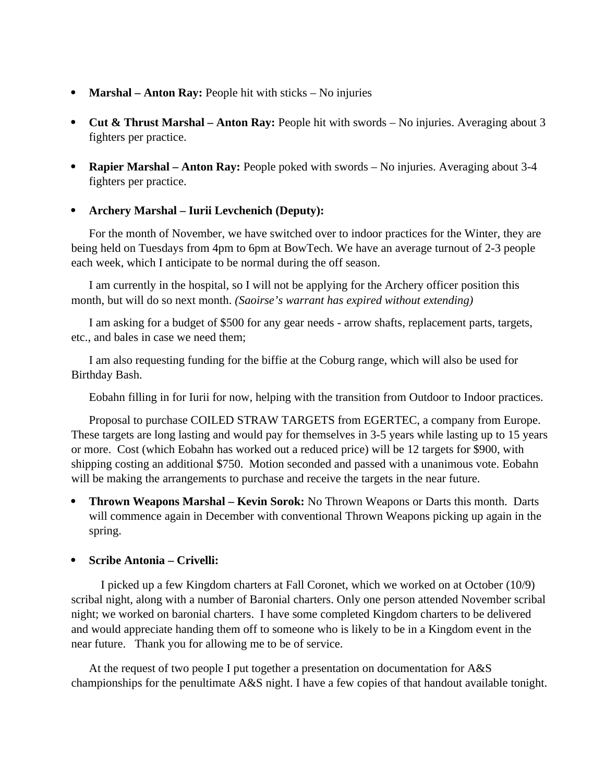- **Marshal Anton Ray:** People hit with sticks No injuries
- **Cut & Thrust Marshal Anton Ray:** People hit with swords No injuries. Averaging about 3 fighters per practice.
- **Rapier Marshal Anton Ray:** People poked with swords No injuries. Averaging about 3-4 fighters per practice.

### **Archery Marshal – Iurii Levchenich (Deputy):**

For the month of November, we have switched over to indoor practices for the Winter, they are being held on Tuesdays from 4pm to 6pm at BowTech. We have an average turnout of 2-3 people each week, which I anticipate to be normal during the off season.

I am currently in the hospital, so I will not be applying for the Archery officer position this month, but will do so next month. *(Saoirse's warrant has expired without extending)*

I am asking for a budget of \$500 for any gear needs - arrow shafts, replacement parts, targets, etc., and bales in case we need them;

I am also requesting funding for the biffie at the Coburg range, which will also be used for Birthday Bash.

Eobahn filling in for Iurii for now, helping with the transition from Outdoor to Indoor practices.

Proposal to purchase COILED STRAW TARGETS from EGERTEC, a company from Europe. These targets are long lasting and would pay for themselves in 3-5 years while lasting up to 15 years or more. Cost (which Eobahn has worked out a reduced price) will be 12 targets for \$900, with shipping costing an additional \$750. Motion seconded and passed with a unanimous vote. Eobahn will be making the arrangements to purchase and receive the targets in the near future.

 **Thrown Weapons Marshal – Kevin Sorok:** No Thrown Weapons or Darts this month. Darts will commence again in December with conventional Thrown Weapons picking up again in the spring.

### **Scribe Antonia – Crivelli:**

I picked up a few Kingdom charters at Fall Coronet, which we worked on at October (10/9) scribal night, along with a number of Baronial charters. Only one person attended November scribal night; we worked on baronial charters. I have some completed Kingdom charters to be delivered and would appreciate handing them off to someone who is likely to be in a Kingdom event in the near future. Thank you for allowing me to be of service.

At the request of two people I put together a presentation on documentation for A&S championships for the penultimate A&S night. I have a few copies of that handout available tonight.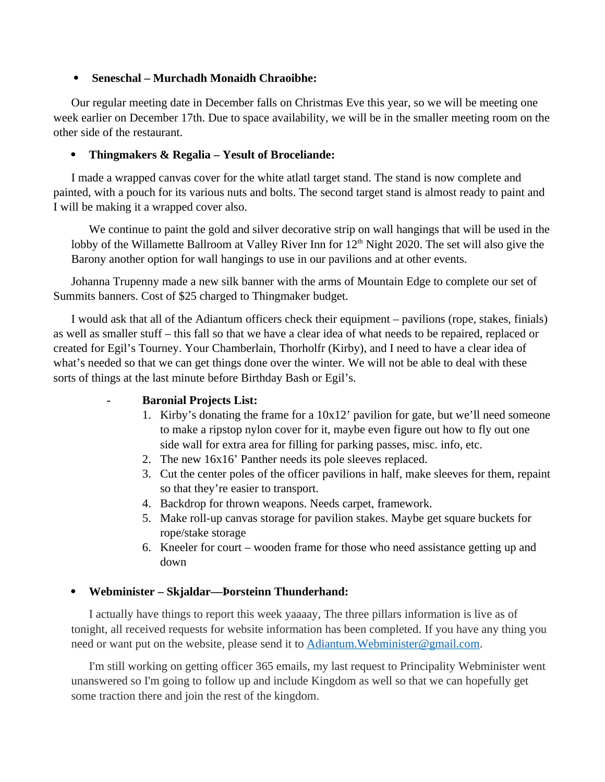### **Seneschal – Murchadh Monaidh Chraoibhe:**

Our regular meeting date in December falls on Christmas Eve this year, so we will be meeting one week earlier on December 17th. Due to space availability, we will be in the smaller meeting room on the other side of the restaurant.

### **Thingmakers & Regalia – Yesult of Broceliande:**

I made a wrapped canvas cover for the white atlatl target stand. The stand is now complete and painted, with a pouch for its various nuts and bolts. The second target stand is almost ready to paint and I will be making it a wrapped cover also.

We continue to paint the gold and silver decorative strip on wall hangings that will be used in the lobby of the Willamette Ballroom at Valley River Inn for 12<sup>th</sup> Night 2020. The set will also give the Barony another option for wall hangings to use in our pavilions and at other events.

Johanna Trupenny made a new silk banner with the arms of Mountain Edge to complete our set of Summits banners. Cost of \$25 charged to Thingmaker budget.

I would ask that all of the Adiantum officers check their equipment – pavilions (rope, stakes, finials) as well as smaller stuff – this fall so that we have a clear idea of what needs to be repaired, replaced or created for Egil's Tourney. Your Chamberlain, Thorholfr (Kirby), and I need to have a clear idea of what's needed so that we can get things done over the winter. We will not be able to deal with these sorts of things at the last minute before Birthday Bash or Egil's.

### **- Baronial Projects List:**

- 1. Kirby's donating the frame for a 10x12' pavilion for gate, but we'll need someone to make a ripstop nylon cover for it, maybe even figure out how to fly out one side wall for extra area for filling for parking passes, misc. info, etc.
- 2. The new 16x16' Panther needs its pole sleeves replaced.
- 3. Cut the center poles of the officer pavilions in half, make sleeves for them, repaint so that they're easier to transport.
- 4. Backdrop for thrown weapons. Needs carpet, framework.
- 5. Make roll-up canvas storage for pavilion stakes. Maybe get square buckets for rope/stake storage
- 6. Kneeler for court wooden frame for those who need assistance getting up and down

### **Webminister – Skjaldar—Þorsteinn Thunderhand:**

I actually have things to report this week yaaaay, The three pillars information is live as of tonight, all received requests for website information has been completed. If you have any thing you need or want put on the website, please send it to Adiantum. Webminister@gmail.com.

I'm still working on getting officer 365 emails, my last request to Principality Webminister went unanswered so I'm going to follow up and include Kingdom as well so that we can hopefully get some traction there and join the rest of the kingdom.